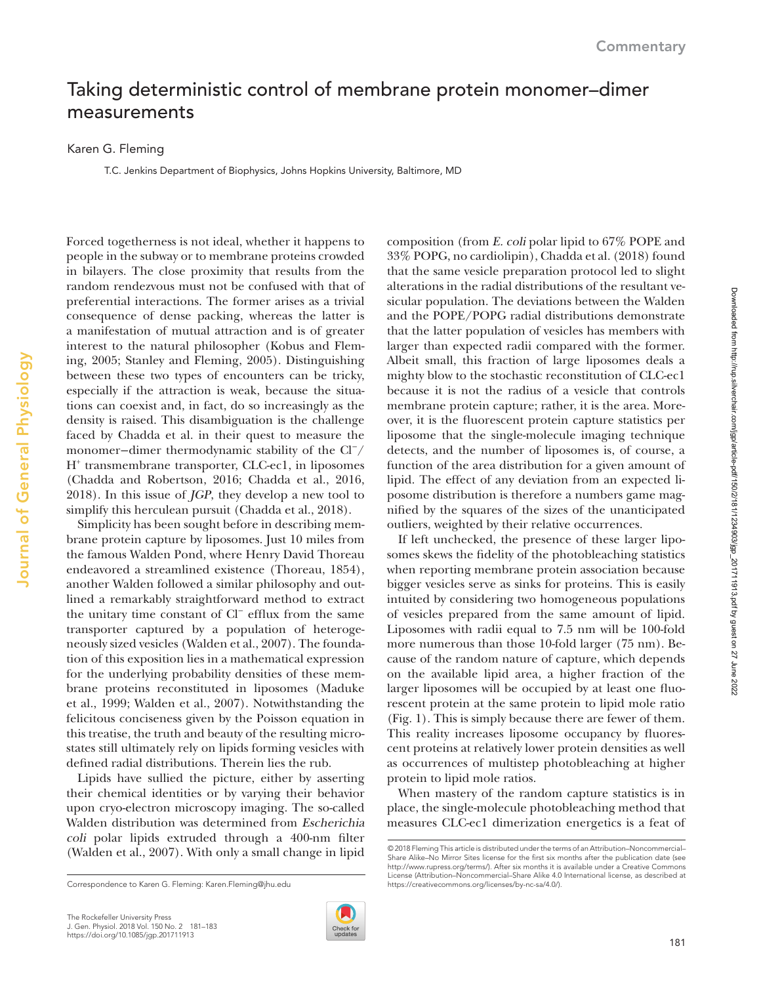## Taking deterministic control of membrane protein monomer–dimer measurements

Karen G. Fleming

T.C. Jenkins Department of Biophysics, Johns Hopkins University, Baltimore, MD

Forced togetherness is not ideal, whether it happens to people in the subway or to membrane proteins crowded in bilayers. The close proximity that results from the random rendezvous must not be confused with that of preferential interactions. The former arises as a trivial consequence of dense packing, whereas the latter is a manifestation of mutual attraction and is of greater interest to the natural philosopher ([Kobus and Flem](#page-2-0)[ing, 2005;](#page-2-0) [Stanley and Fleming, 2005](#page-2-1)). Distinguishing between these two types of encounters can be tricky, especially if the attraction is weak, because the situations can coexist and, in fact, do so increasingly as the density is raised. This disambiguation is the challenge faced by Chadda et al. in their quest to measure the monomer−dimer thermodynamic stability of the Cl<sup>−</sup>/ H+ transmembrane transporter, CLC-ec1, in liposomes ([Chadda and Robertson, 2016](#page-2-2); [Chadda et al., 2016,](#page-2-3) [2018](#page-2-4)). In this issue of JGP, they develop a new tool to simplify this herculean pursuit ([Chadda et al., 2018](#page-2-4)).

Simplicity has been sought before in describing membrane protein capture by liposomes. Just 10 miles from the famous Walden Pond, where Henry David Thoreau endeavored a streamlined existence [\(Thoreau, 1854](#page-2-5)), another Walden followed a similar philosophy and outlined a remarkably straightforward method to extract the unitary time constant of Cl<sup>−</sup> efflux from the same transporter captured by a population of heterogeneously sized vesicles [\(Walden et al., 2007](#page-2-6)). The foundation of this exposition lies in a mathematical expression for the underlying probability densities of these membrane proteins reconstituted in liposomes [\(Maduke](#page-2-7) [et al., 1999](#page-2-7); [Walden et al., 2007](#page-2-6)). Notwithstanding the felicitous conciseness given by the Poisson equation in this treatise, the truth and beauty of the resulting microstates still ultimately rely on lipids forming vesicles with defined radial distributions. Therein lies the rub.

Lipids have sullied the picture, either by asserting their chemical identities or by varying their behavior upon cryo-electron microscopy imaging. The so-called Walden distribution was determined from Escherichia coli polar lipids extruded through a 400-nm filter ([Walden et al., 2007\)](#page-2-6). With only a small change in lipid



composition (from E. coli polar lipid to 67% POPE and 33% POPG, no cardiolipin), [Chadda et al. \(2018\)](#page-2-4) found that the same vesicle preparation protocol led to slight alterations in the radial distributions of the resultant vesicular population. The deviations between the Walden and the POPE/POPG radial distributions demonstrate that the latter population of vesicles has members with larger than expected radii compared with the former. Albeit small, this fraction of large liposomes deals a mighty blow to the stochastic reconstitution of CLC-ec1 because it is not the radius of a vesicle that controls membrane protein capture; rather, it is the area. Moreover, it is the fluorescent protein capture statistics per liposome that the single-molecule imaging technique detects, and the number of liposomes is, of course, a function of the area distribution for a given amount of lipid. The effect of any deviation from an expected liposome distribution is therefore a numbers game magnified by the squares of the sizes of the unanticipated outliers, weighted by their relative occurrences.

If left unchecked, the presence of these larger liposomes skews the fidelity of the photobleaching statistics when reporting membrane protein association because bigger vesicles serve as sinks for proteins. This is easily intuited by considering two homogeneous populations of vesicles prepared from the same amount of lipid. Liposomes with radii equal to 7.5 nm will be 100-fold more numerous than those 10-fold larger (75 nm). Because of the random nature of capture, which depends on the available lipid area, a higher fraction of the larger liposomes will be occupied by at least one fluorescent protein at the same protein to lipid mole ratio ([Fig. 1\)](#page-1-0). This is simply because there are fewer of them. This reality increases liposome occupancy by fluorescent proteins at relatively lower protein densities as well as occurrences of multistep photobleaching at higher protein to lipid mole ratios.

When mastery of the random capture statistics is in place, the single-molecule photobleaching method that measures CLC-ec1 dimerization energetics is a feat of Downloaded from http://rup.silverchair.com/igp/article-pdf/150/2/181/1234903/igp\_201711913.pdf by guest on 27 June 2022 Downloaded from http://rup.silverchair.com/jgp/article-pdf/150/2/181/1234903/jgp\_201711913.pdf by guest on 27 June 2022

Correspondence to Karen G. Fleming: [Karen.Fleming@jhu.edu](mailto:)

<sup>© 2018</sup> Fleming This article is distributed under the terms of an Attribution–Noncommercial– Share Alike–No Mirror Sites license for the first six months after the publication date (see <http://www.rupress.org/terms/>). After six months it is available under a Creative Commons License (Attribution–Noncommercial–Share Alike 4.0 International license, as described at<br>https://creativecommons.org/licenses/by-nc-sa/4.0/).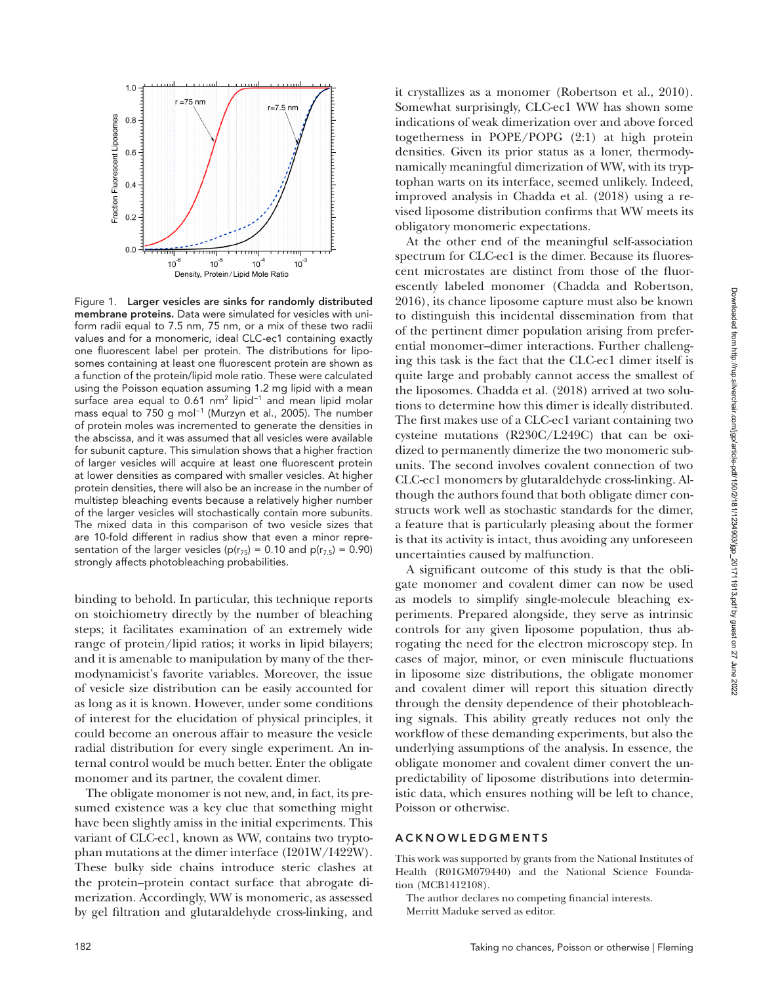

<span id="page-1-0"></span>Figure 1. Larger vesicles are sinks for randomly distributed membrane proteins. Data were simulated for vesicles with uniform radii equal to 7.5 nm, 75 nm, or a mix of these two radii values and for a monomeric, ideal CLC-ec1 containing exactly one fluorescent label per protein. The distributions for liposomes containing at least one fluorescent protein are shown as a function of the protein/lipid mole ratio. These were calculated using the Poisson equation assuming 1.2 mg lipid with a mean surface area equal to 0.61 nm<sup>2</sup> lipid<sup>-1</sup> and mean lipid molar mass equal to 750 g mol<sup>−</sup><sup>1</sup> ([Murzyn et al., 2005](#page-2-9)). The number of protein moles was incremented to generate the densities in the abscissa, and it was assumed that all vesicles were available for subunit capture. This simulation shows that a higher fraction of larger vesicles will acquire at least one fluorescent protein at lower densities as compared with smaller vesicles. At higher protein densities, there will also be an increase in the number of multistep bleaching events because a relatively higher number of the larger vesicles will stochastically contain more subunits. The mixed data in this comparison of two vesicle sizes that are 10-fold different in radius show that even a minor representation of the larger vesicles ( $p(r_{75}) = 0.10$  and  $p(r_{7.5}) = 0.90$ ) strongly affects photobleaching probabilities.

binding to behold. In particular, this technique reports on stoichiometry directly by the number of bleaching steps; it facilitates examination of an extremely wide range of protein/lipid ratios; it works in lipid bilayers; and it is amenable to manipulation by many of the thermodynamicist's favorite variables. Moreover, the issue of vesicle size distribution can be easily accounted for as long as it is known. However, under some conditions of interest for the elucidation of physical principles, it could become an onerous affair to measure the vesicle radial distribution for every single experiment. An internal control would be much better. Enter the obligate monomer and its partner, the covalent dimer.

The obligate monomer is not new, and, in fact, its presumed existence was a key clue that something might have been slightly amiss in the initial experiments. This variant of CLC-ec1, known as WW, contains two tryptophan mutations at the dimer interface (I201W/I422W). These bulky side chains introduce steric clashes at the protein–protein contact surface that abrogate dimerization. Accordingly, WW is monomeric, as assessed by gel filtration and glutaraldehyde cross-linking, and

it crystallizes as a monomer ([Robertson et al., 2010](#page-2-8)). Somewhat surprisingly, CLC-ec1 WW has shown some indications of weak dimerization over and above forced togetherness in POPE/POPG (2:1) at high protein densities. Given its prior status as a loner, thermodynamically meaningful dimerization of WW, with its tryptophan warts on its interface, seemed unlikely. Indeed, improved analysis in [Chadda et al. \(2018\)](#page-2-4) using a revised liposome distribution confirms that WW meets its obligatory monomeric expectations.

At the other end of the meaningful self-association spectrum for CLC-ec1 is the dimer. Because its fluorescent microstates are distinct from those of the fluorescently labeled monomer ([Chadda and Robertson,](#page-2-2)  [2016\)](#page-2-2), its chance liposome capture must also be known to distinguish this incidental dissemination from that of the pertinent dimer population arising from preferential monomer–dimer interactions. Further challenging this task is the fact that the CLC-ec1 dimer itself is quite large and probably cannot access the smallest of the liposomes. [Chadda et al. \(2018\)](#page-2-4) arrived at two solutions to determine how this dimer is ideally distributed. The first makes use of a CLC-ec1 variant containing two cysteine mutations (R230C/L249C) that can be oxidized to permanently dimerize the two monomeric subunits. The second involves covalent connection of two CLC-ec1 monomers by glutaraldehyde cross-linking. Although the authors found that both obligate dimer constructs work well as stochastic standards for the dimer, a feature that is particularly pleasing about the former is that its activity is intact, thus avoiding any unforeseen uncertainties caused by malfunction.

A significant outcome of this study is that the obligate monomer and covalent dimer can now be used as models to simplify single-molecule bleaching experiments. Prepared alongside, they serve as intrinsic controls for any given liposome population, thus abrogating the need for the electron microscopy step. In cases of major, minor, or even miniscule fluctuations in liposome size distributions, the obligate monomer and covalent dimer will report this situation directly through the density dependence of their photobleaching signals. This ability greatly reduces not only the workflow of these demanding experiments, but also the underlying assumptions of the analysis. In essence, the obligate monomer and covalent dimer convert the unpredictability of liposome distributions into deterministic data, which ensures nothing will be left to chance, Poisson or otherwise.

## **ACKNOWLEDGMENTS**

This work was supported by grants from the National Institutes of Health (R01GM079440) and the National Science Foundation (MCB1412108).

The author declares no competing financial interests.

Merritt Maduke served as editor.